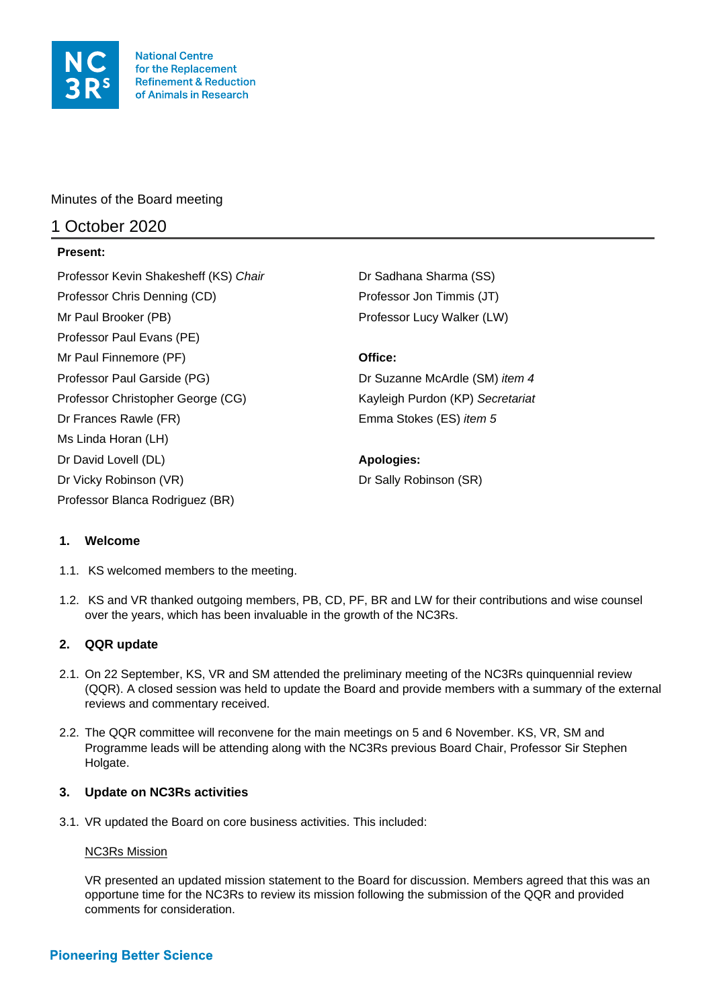

**National Centre** for the Replacement **Refinement & Reduction** of Animals in Research

Minutes of the Board meeting

# 1 October 2020

## **Present:**

Professor Kevin Shakesheff (KS) Chair **Dr Sadhana Sharma (SS)** Professor Chris Denning (CD) Professor Jon Timmis (JT) Mr Paul Brooker (PB) **Professor Lucy Walker (LW)** Professor Lucy Walker (LW) Professor Paul Evans (PE) Mr Paul Finnemore (PF) **Office:** Professor Paul Garside (PG) Dr Suzanne McArdle (SM) *item 4* Professor Christopher George (CG) Kayleigh Purdon (KP) *Secretariat* Dr Frances Rawle (FR) Emma Stokes (ES) *item 5* Ms Linda Horan (LH) Dr David Lovell (DL) **Apologies:**  Dr Vicky Robinson (VR) Dr Sally Robinson (SR) Professor Blanca Rodriguez (BR)

# **1. Welcome**

- 1.1. KS welcomed members to the meeting.
- 1.2. KS and VR thanked outgoing members, PB, CD, PF, BR and LW for their contributions and wise counsel over the years, which has been invaluable in the growth of the NC3Rs.

# **2. QQR update**

- 2.1. On 22 September, KS, VR and SM attended the preliminary meeting of the NC3Rs quinquennial review (QQR). A closed session was held to update the Board and provide members with a summary of the external reviews and commentary received.
- 2.2. The QQR committee will reconvene for the main meetings on 5 and 6 November. KS, VR, SM and Programme leads will be attending along with the NC3Rs previous Board Chair, Professor Sir Stephen Holgate.

## **3. Update on NC3Rs activities**

3.1. VR updated the Board on core business activities. This included:

## NC3Rs Mission

VR presented an updated mission statement to the Board for discussion. Members agreed that this was an opportune time for the NC3Rs to review its mission following the submission of the QQR and provided comments for consideration.

# **Pioneering Better Science**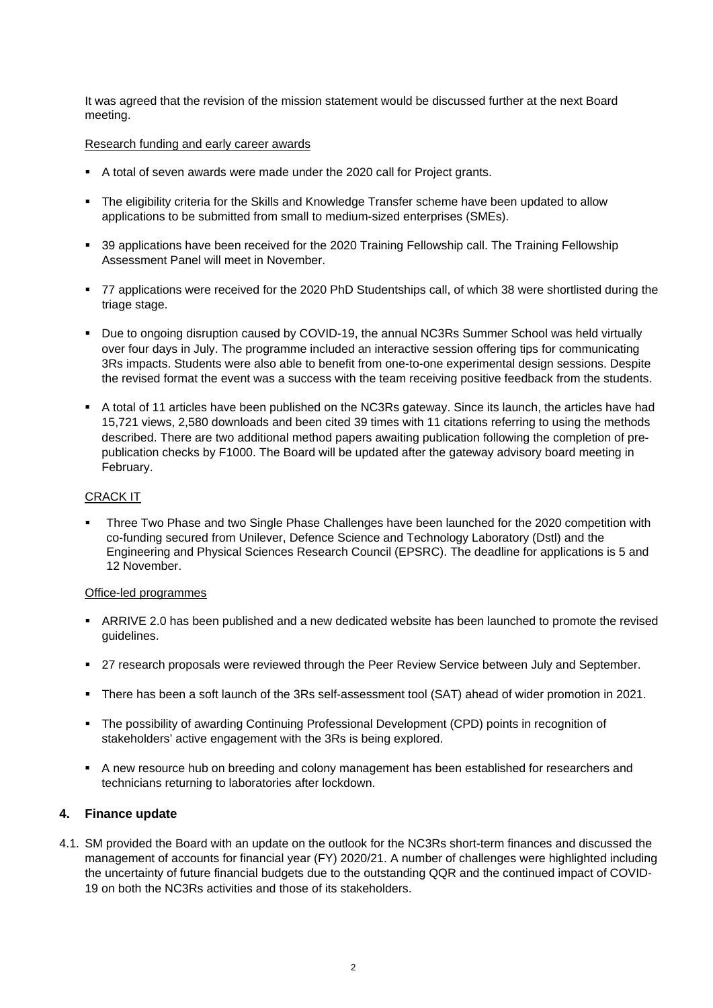It was agreed that the revision of the mission statement would be discussed further at the next Board meeting.

### Research funding and early career awards

- A total of seven awards were made under the 2020 call for Project grants.
- The eligibility criteria for the Skills and Knowledge Transfer scheme have been updated to allow applications to be submitted from small to medium-sized enterprises (SMEs).
- 39 applications have been received for the 2020 Training Fellowship call. The Training Fellowship Assessment Panel will meet in November.
- 77 applications were received for the 2020 PhD Studentships call, of which 38 were shortlisted during the triage stage.
- Due to ongoing disruption caused by COVID-19, the annual NC3Rs Summer School was held virtually over four days in July. The programme included an interactive session offering tips for communicating 3Rs impacts. Students were also able to benefit from one-to-one experimental design sessions. Despite the revised format the event was a success with the team receiving positive feedback from the students.
- A total of 11 articles have been published on the NC3Rs gateway. Since its launch, the articles have had 15,721 views, 2,580 downloads and been cited 39 times with 11 citations referring to using the methods described. There are two additional method papers awaiting publication following the completion of prepublication checks by F1000. The Board will be updated after the gateway advisory board meeting in February.

## CRACK IT

 Three Two Phase and two Single Phase Challenges have been launched for the 2020 competition with co-funding secured from Unilever, Defence Science and Technology Laboratory (Dstl) and the Engineering and Physical Sciences Research Council (EPSRC). The deadline for applications is 5 and 12 November.

### Office-led programmes

- **ARRIVE 2.0 has been published and a new dedicated website has been launched to promote the revised** guidelines.
- 27 research proposals were reviewed through the Peer Review Service between July and September.
- There has been a soft launch of the 3Rs self-assessment tool (SAT) ahead of wider promotion in 2021.
- The possibility of awarding Continuing Professional Development (CPD) points in recognition of stakeholders' active engagement with the 3Rs is being explored.
- A new resource hub on breeding and colony management has been established for researchers and technicians returning to laboratories after lockdown.

### **4. Finance update**

4.1. SM provided the Board with an update on the outlook for the NC3Rs short-term finances and discussed the management of accounts for financial year (FY) 2020/21. A number of challenges were highlighted including the uncertainty of future financial budgets due to the outstanding QQR and the continued impact of COVID-19 on both the NC3Rs activities and those of its stakeholders.